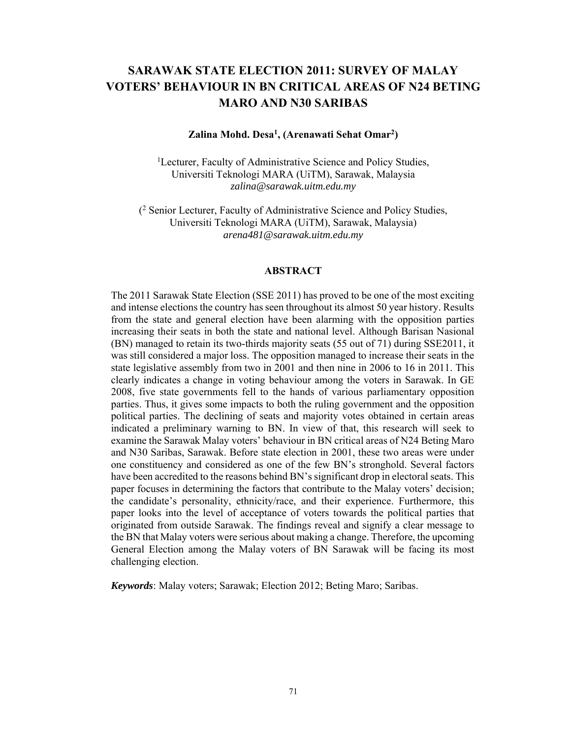# **SARAWAK STATE ELECTION 2011: SURVEY OF MALAY VOTERS' BEHAVIOUR IN BN CRITICAL AREAS OF N24 BETING MARO AND N30 SARIBAS**

#### **Zalina Mohd. Desa1 , (Arenawati Sehat Omar2 )**

<sup>1</sup>Lecturer, Faculty of Administrative Science and Policy Studies, Universiti Teknologi MARA (UiTM), Sarawak, Malaysia *zalina@sarawak.uitm.edu.my* 

(2 Senior Lecturer, Faculty of Administrative Science and Policy Studies, Universiti Teknologi MARA (UiTM), Sarawak, Malaysia) *arena481@sarawak.uitm.edu.my* 

#### **ABSTRACT**

The 2011 Sarawak State Election (SSE 2011) has proved to be one of the most exciting and intense elections the country has seen throughout its almost 50 year history. Results from the state and general election have been alarming with the opposition parties increasing their seats in both the state and national level. Although Barisan Nasional (BN) managed to retain its two-thirds majority seats (55 out of 71) during SSE2011, it was still considered a major loss. The opposition managed to increase their seats in the state legislative assembly from two in 2001 and then nine in 2006 to 16 in 2011. This clearly indicates a change in voting behaviour among the voters in Sarawak. In GE 2008, five state governments fell to the hands of various parliamentary opposition parties. Thus, it gives some impacts to both the ruling government and the opposition political parties. The declining of seats and majority votes obtained in certain areas indicated a preliminary warning to BN. In view of that, this research will seek to examine the Sarawak Malay voters' behaviour in BN critical areas of N24 Beting Maro and N30 Saribas, Sarawak. Before state election in 2001, these two areas were under one constituency and considered as one of the few BN's stronghold. Several factors have been accredited to the reasons behind BN's significant drop in electoral seats. This paper focuses in determining the factors that contribute to the Malay voters' decision; the candidate's personality, ethnicity/race, and their experience. Furthermore, this paper looks into the level of acceptance of voters towards the political parties that originated from outside Sarawak. The findings reveal and signify a clear message to the BN that Malay voters were serious about making a change. Therefore, the upcoming General Election among the Malay voters of BN Sarawak will be facing its most challenging election.

*Keywords*: Malay voters; Sarawak; Election 2012; Beting Maro; Saribas.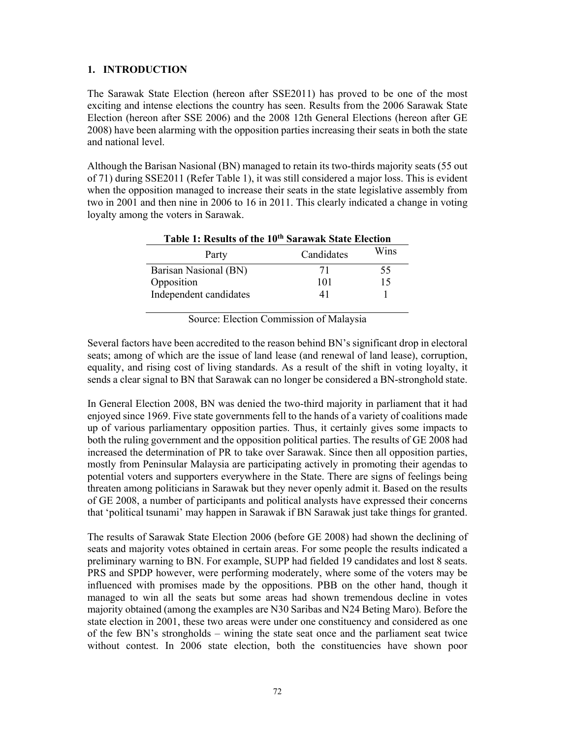## **1. INTRODUCTION**

The Sarawak State Election (hereon after SSE2011) has proved to be one of the most exciting and intense elections the country has seen. Results from the 2006 Sarawak State Election (hereon after SSE 2006) and the 2008 12th General Elections (hereon after GE 2008) have been alarming with the opposition parties increasing their seats in both the state and national level.

Although the Barisan Nasional (BN) managed to retain its two-thirds majority seats (55 out of 71) during SSE2011 (Refer Table 1), it was still considered a major loss. This is evident when the opposition managed to increase their seats in the state legislative assembly from two in 2001 and then nine in 2006 to 16 in 2011. This clearly indicated a change in voting loyalty among the voters in Sarawak.

| Table 1: Results of the 10 <sup>th</sup> Sarawak State Election |            |      |  |
|-----------------------------------------------------------------|------------|------|--|
| Party                                                           | Candidates | Wins |  |
| Barisan Nasional (BN)                                           | 71         | 55   |  |
| Opposition                                                      | 101        | 15   |  |
| Independent candidates                                          |            |      |  |

Source: Election Commission of Malaysia

Several factors have been accredited to the reason behind BN's significant drop in electoral seats; among of which are the issue of land lease (and renewal of land lease), corruption, equality, and rising cost of living standards. As a result of the shift in voting loyalty, it sends a clear signal to BN that Sarawak can no longer be considered a BN-stronghold state.

In General Election 2008, BN was denied the two-third majority in parliament that it had enjoyed since 1969. Five state governments fell to the hands of a variety of coalitions made up of various parliamentary opposition parties. Thus, it certainly gives some impacts to both the ruling government and the opposition political parties. The results of GE 2008 had increased the determination of PR to take over Sarawak. Since then all opposition parties, mostly from Peninsular Malaysia are participating actively in promoting their agendas to potential voters and supporters everywhere in the State. There are signs of feelings being threaten among politicians in Sarawak but they never openly admit it. Based on the results of GE 2008, a number of participants and political analysts have expressed their concerns that 'political tsunami' may happen in Sarawak if BN Sarawak just take things for granted.

The results of Sarawak State Election 2006 (before GE 2008) had shown the declining of seats and majority votes obtained in certain areas. For some people the results indicated a preliminary warning to BN. For example, SUPP had fielded 19 candidates and lost 8 seats. PRS and SPDP however, were performing moderately, where some of the voters may be influenced with promises made by the oppositions. PBB on the other hand, though it managed to win all the seats but some areas had shown tremendous decline in votes majority obtained (among the examples are N30 Saribas and N24 Beting Maro). Before the state election in 2001, these two areas were under one constituency and considered as one of the few BN's strongholds – wining the state seat once and the parliament seat twice without contest. In 2006 state election, both the constituencies have shown poor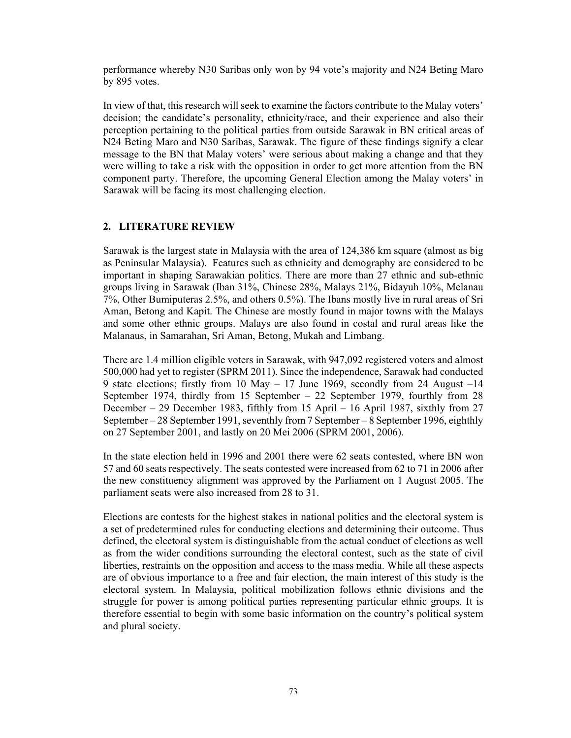performance whereby N30 Saribas only won by 94 vote's majority and N24 Beting Maro by 895 votes.

In view of that, this research will seek to examine the factors contribute to the Malay voters' decision; the candidate's personality, ethnicity/race, and their experience and also their perception pertaining to the political parties from outside Sarawak in BN critical areas of N24 Beting Maro and N30 Saribas, Sarawak. The figure of these findings signify a clear message to the BN that Malay voters' were serious about making a change and that they were willing to take a risk with the opposition in order to get more attention from the BN component party. Therefore, the upcoming General Election among the Malay voters' in Sarawak will be facing its most challenging election.

#### **2. LITERATURE REVIEW**

Sarawak is the largest state in Malaysia with the area of 124,386 km square (almost as big as Peninsular Malaysia). Features such as ethnicity and demography are considered to be important in shaping Sarawakian politics. There are more than 27 ethnic and sub-ethnic groups living in Sarawak (Iban 31%, Chinese 28%, Malays 21%, Bidayuh 10%, Melanau 7%, Other Bumiputeras 2.5%, and others 0.5%). The Ibans mostly live in rural areas of Sri Aman, Betong and Kapit. The Chinese are mostly found in major towns with the Malays and some other ethnic groups. Malays are also found in costal and rural areas like the Malanaus, in Samarahan, Sri Aman, Betong, Mukah and Limbang.

There are 1.4 million eligible voters in Sarawak, with 947,092 registered voters and almost 500,000 had yet to register (SPRM 2011). Since the independence, Sarawak had conducted 9 state elections; firstly from 10 May – 17 June 1969, secondly from 24 August –14 September 1974, thirdly from 15 September – 22 September 1979, fourthly from 28 December – 29 December 1983, fifthly from 15 April – 16 April 1987, sixthly from 27 September – 28 September 1991, seventhly from 7 September – 8 September 1996, eighthly on 27 September 2001, and lastly on 20 Mei 2006 (SPRM 2001, 2006).

In the state election held in 1996 and 2001 there were 62 seats contested, where BN won 57 and 60 seats respectively. The seats contested were increased from 62 to 71 in 2006 after the new constituency alignment was approved by the Parliament on 1 August 2005. The parliament seats were also increased from 28 to 31.

Elections are contests for the highest stakes in national politics and the electoral system is a set of predetermined rules for conducting elections and determining their outcome. Thus defined, the electoral system is distinguishable from the actual conduct of elections as well as from the wider conditions surrounding the electoral contest, such as the state of civil liberties, restraints on the opposition and access to the mass media. While all these aspects are of obvious importance to a free and fair election, the main interest of this study is the electoral system. In Malaysia, political mobilization follows ethnic divisions and the struggle for power is among political parties representing particular ethnic groups. It is therefore essential to begin with some basic information on the country's political system and plural society.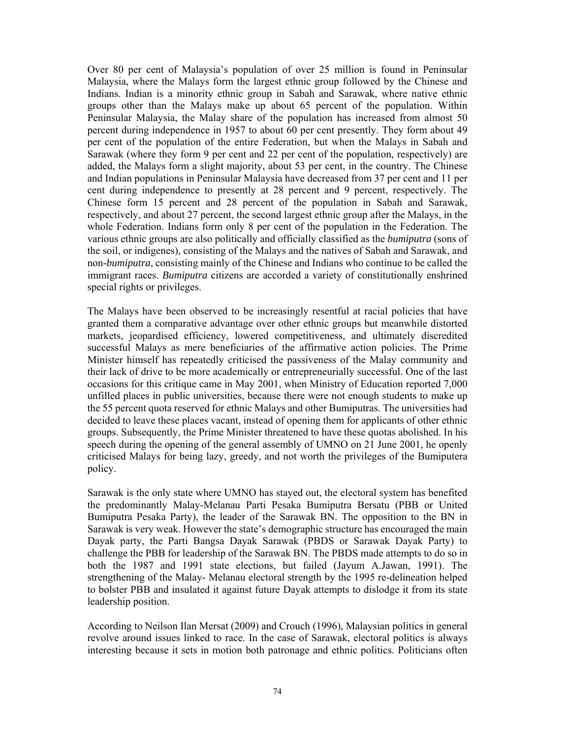Over 80 per cent of Malaysia's population of over 25 million is found in Peninsular Malaysia, where the Malays form the largest ethnic group followed by the Chinese and Indians. Indian is a minority ethnic group in Sabah and Sarawak, where native ethnic groups other than the Malays make up about 65 percent of the population. Within Peninsular Malaysia, the Malay share of the population has increased from almost 50 percent during independence in 1957 to about 60 per cent presently. They form about 49 per cent of the population of the entire Federation, but when the Malays in Sabah and Sarawak (where they form 9 per cent and 22 per cent of the population, respectively) are added, the Malays form a slight majority, about 53 per cent, in the country. The Chinese and Indian populations in Peninsular Malaysia have decreased from 37 per cent and 11 per cent during independence to presently at 28 percent and 9 percent, respectively. The Chinese form 15 percent and 28 percent of the population in Sabah and Sarawak, respectively, and about 27 percent, the second largest ethnic group after the Malays, in the whole Federation. Indians form only 8 per cent of the population in the Federation. The various ethnic groups are also politically and officially classified as the *bumiputra* (sons of the soil, or indigenes), consisting of the Malays and the natives of Sabah and Sarawak, and non-*bumiputra*, consisting mainly of the Chinese and Indians who continue to be called the immigrant races. *Bumiputra* citizens are accorded a variety of constitutionally enshrined special rights or privileges.

The Malays have been observed to be increasingly resentful at racial policies that have granted them a comparative advantage over other ethnic groups but meanwhile distorted markets, jeopardised efficiency, lowered competitiveness, and ultimately discredited successful Malays as mere beneficiaries of the affirmative action policies. The Prime Minister himself has repeatedly criticised the passiveness of the Malay community and their lack of drive to be more academically or entrepreneurially successful. One of the last occasions for this critique came in May 2001, when Ministry of Education reported 7,000 unfilled places in public universities, because there were not enough students to make up the 55 percent quota reserved for ethnic Malays and other Bumiputras. The universities had decided to leave these places vacant, instead of opening them for applicants of other ethnic groups. Subsequently, the Prime Minister threatened to have these quotas abolished. In his speech during the opening of the general assembly of UMNO on 21 June 2001, he openly criticised Malays for being lazy, greedy, and not worth the privileges of the Bumiputera policy.

Sarawak is the only state where UMNO has stayed out, the electoral system has benefited the predominantly Malay-Melanau Parti Pesaka Bumiputra Bersatu (PBB or United Bumiputra Pesaka Party), the leader of the Sarawak BN. The opposition to the BN in Sarawak is very weak. However the state's demographic structure has encouraged the main Dayak party, the Parti Bangsa Dayak Sarawak (PBDS or Sarawak Dayak Party) to challenge the PBB for leadership of the Sarawak BN. The PBDS made attempts to do so in both the 1987 and 1991 state elections, but failed (Jayum A.Jawan, 1991). The strengthening of the Malay- Melanau electoral strength by the 1995 re-delineation helped to bolster PBB and insulated it against future Dayak attempts to dislodge it from its state leadership position.

According to Neilson Ilan Mersat (2009) and Crouch (1996), Malaysian politics in general revolve around issues linked to race. In the case of Sarawak, electoral politics is always interesting because it sets in motion both patronage and ethnic politics. Politicians often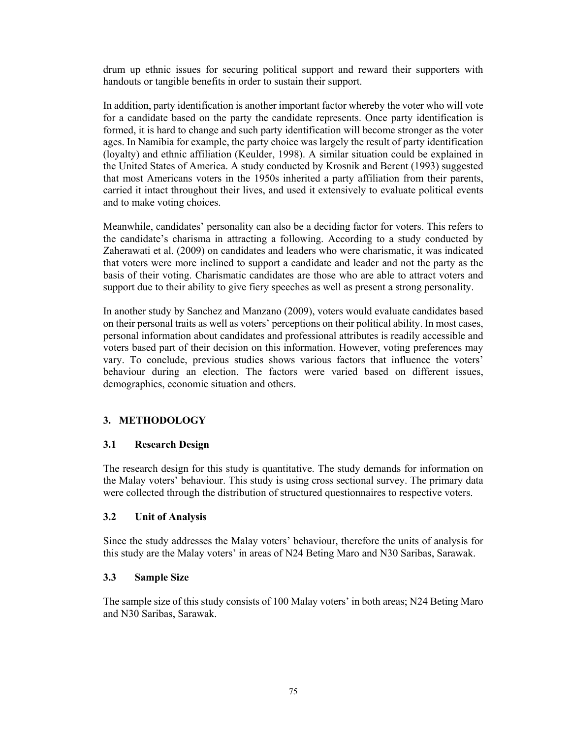drum up ethnic issues for securing political support and reward their supporters with handouts or tangible benefits in order to sustain their support.

In addition, party identification is another important factor whereby the voter who will vote for a candidate based on the party the candidate represents. Once party identification is formed, it is hard to change and such party identification will become stronger as the voter ages. In Namibia for example, the party choice was largely the result of party identification (loyalty) and ethnic affiliation (Keulder, 1998). A similar situation could be explained in the United States of America. A study conducted by Krosnik and Berent (1993) suggested that most Americans voters in the 1950s inherited a party affiliation from their parents, carried it intact throughout their lives, and used it extensively to evaluate political events and to make voting choices.

Meanwhile, candidates' personality can also be a deciding factor for voters. This refers to the candidate's charisma in attracting a following. According to a study conducted by Zaherawati et al. (2009) on candidates and leaders who were charismatic, it was indicated that voters were more inclined to support a candidate and leader and not the party as the basis of their voting. Charismatic candidates are those who are able to attract voters and support due to their ability to give fiery speeches as well as present a strong personality.

In another study by Sanchez and Manzano (2009), voters would evaluate candidates based on their personal traits as well as voters' perceptions on their political ability. In most cases, personal information about candidates and professional attributes is readily accessible and voters based part of their decision on this information. However, voting preferences may vary. To conclude, previous studies shows various factors that influence the voters' behaviour during an election. The factors were varied based on different issues, demographics, economic situation and others.

## **3. METHODOLOGY**

## **3.1 Research Design**

The research design for this study is quantitative. The study demands for information on the Malay voters' behaviour. This study is using cross sectional survey. The primary data were collected through the distribution of structured questionnaires to respective voters.

#### **3.2 Unit of Analysis**

Since the study addresses the Malay voters' behaviour, therefore the units of analysis for this study are the Malay voters' in areas of N24 Beting Maro and N30 Saribas, Sarawak.

#### **3.3 Sample Size**

The sample size of this study consists of 100 Malay voters' in both areas; N24 Beting Maro and N30 Saribas, Sarawak.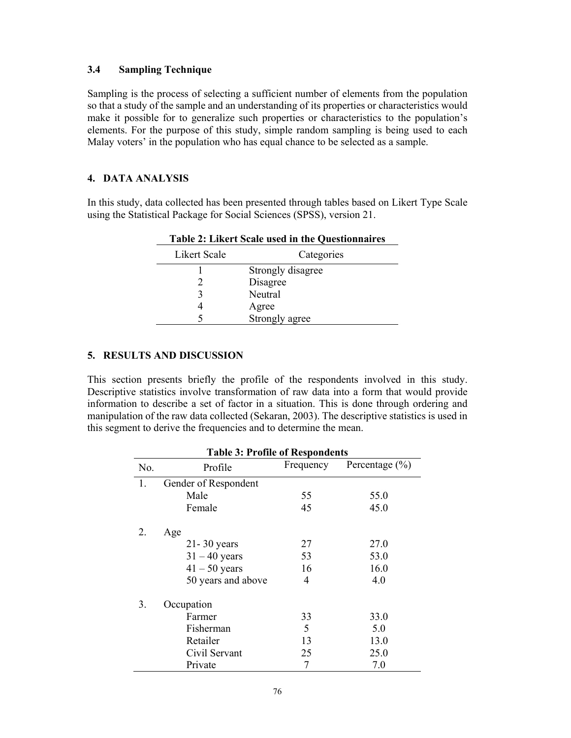#### **3.4 Sampling Technique**

Sampling is the process of selecting a sufficient number of elements from the population so that a study of the sample and an understanding of its properties or characteristics would make it possible for to generalize such properties or characteristics to the population's elements. For the purpose of this study, simple random sampling is being used to each Malay voters' in the population who has equal chance to be selected as a sample.

## **4. DATA ANALYSIS**

In this study, data collected has been presented through tables based on Likert Type Scale using the Statistical Package for Social Sciences (SPSS), version 21.

| Table 2. Likert Scale used in the Questionnal es |                   |  |
|--------------------------------------------------|-------------------|--|
| Likert Scale                                     | Categories        |  |
|                                                  | Strongly disagree |  |
|                                                  | Disagree          |  |
|                                                  | Neutral           |  |
|                                                  | Agree             |  |
|                                                  | Strongly agree    |  |

**Table 2: Likert Scale used in the Questionnaires** 

### **5. RESULTS AND DISCUSSION**

This section presents briefly the profile of the respondents involved in this study. Descriptive statistics involve transformation of raw data into a form that would provide information to describe a set of factor in a situation. This is done through ordering and manipulation of the raw data collected (Sekaran, 2003). The descriptive statistics is used in this segment to derive the frequencies and to determine the mean.

| <b>Table 3: Profile of Respondents</b> |                      |           |                    |
|----------------------------------------|----------------------|-----------|--------------------|
| No.                                    | Profile              | Frequency | Percentage $(\% )$ |
| 1.                                     | Gender of Respondent |           |                    |
|                                        | Male                 | 55        | 55.0               |
|                                        | Female               | 45        | 45.0               |
| 2.                                     | Age                  |           |                    |
|                                        | $21 - 30$ years      | 27        | 27.0               |
|                                        | $31 - 40$ years      | 53        | 53.0               |
|                                        | $41 - 50$ years      | 16        | 16.0               |
|                                        | 50 years and above   | 4         | 4.0                |
| 3.                                     | Occupation           |           |                    |
|                                        | Farmer               | 33        | 33.0               |
|                                        | Fisherman            | 5         | 5.0                |
|                                        | Retailer             | 13        | 13.0               |
|                                        | Civil Servant        | 25        | 25.0               |
|                                        | Private              | 7         | 7.0                |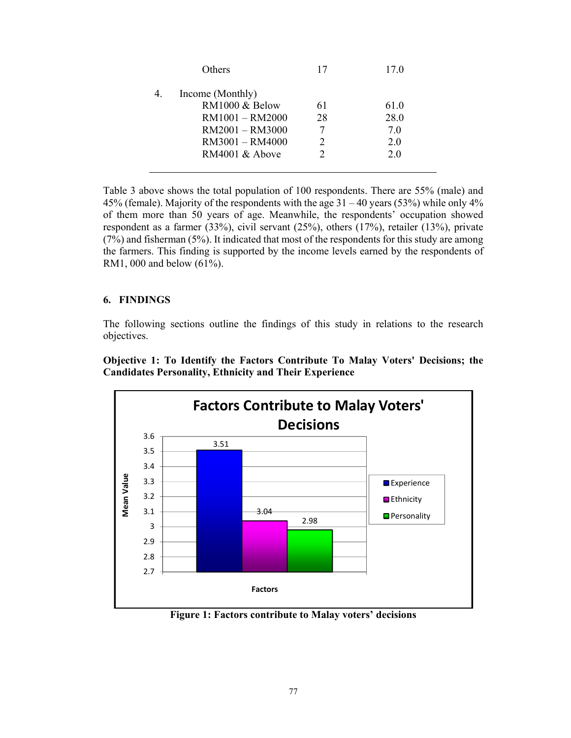| Others                                                                                      | 17       | 17.0                       |
|---------------------------------------------------------------------------------------------|----------|----------------------------|
| Income (Monthly)<br>RM1000 & Below<br>RM1001 - RM2000<br>RM2001 - RM3000<br>RM3001 - RM4000 | 61<br>28 | 61.0<br>28.0<br>7.0<br>2.0 |
| RM4001 & Above                                                                              |          | 2.0                        |

Table 3 above shows the total population of 100 respondents. There are 55% (male) and 45% (female). Majority of the respondents with the age  $31 - 40$  years (53%) while only 4% of them more than 50 years of age. Meanwhile, the respondents' occupation showed respondent as a farmer (33%), civil servant (25%), others (17%), retailer (13%), private (7%) and fisherman (5%). It indicated that most of the respondents for this study are among the farmers. This finding is supported by the income levels earned by the respondents of RM1, 000 and below (61%).

#### **6. FINDINGS**

The following sections outline the findings of this study in relations to the research objectives.

**Objective 1: To Identify the Factors Contribute To Malay Voters' Decisions; the Candidates Personality, Ethnicity and Their Experience** 



**Figure 1: Factors contribute to Malay voters' decisions**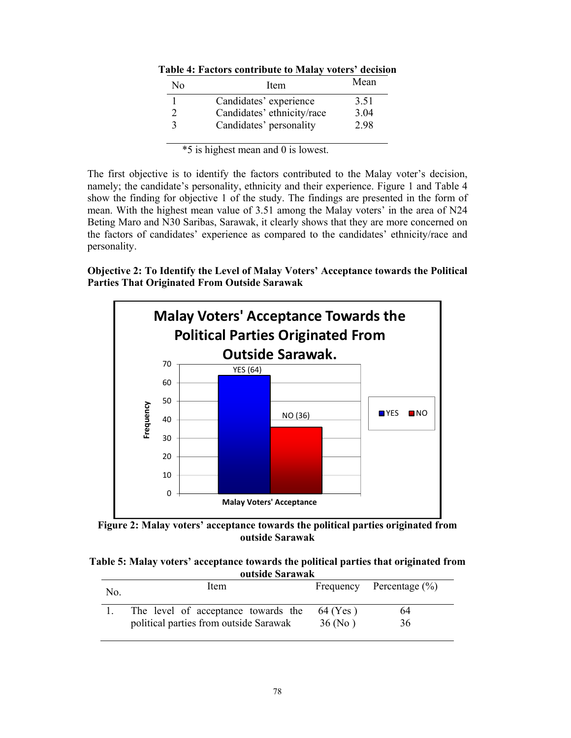| No | Item                       | Mean |
|----|----------------------------|------|
|    | Candidates' experience     | 3.51 |
|    | Candidates' ethnicity/race | 3.04 |
|    | Candidates' personality    | 2.98 |

**Table 4: Factors contribute to Malay voters' decision** 

\*5 is highest mean and 0 is lowest.

The first objective is to identify the factors contributed to the Malay voter's decision, namely; the candidate's personality, ethnicity and their experience. Figure 1 and Table 4 show the finding for objective 1 of the study. The findings are presented in the form of mean. With the highest mean value of 3.51 among the Malay voters' in the area of N24 Beting Maro and N30 Saribas, Sarawak, it clearly shows that they are more concerned on the factors of candidates' experience as compared to the candidates' ethnicity/race and personality.

**Objective 2: To Identify the Level of Malay Voters' Acceptance towards the Political Parties That Originated From Outside Sarawak** 



**Figure 2: Malay voters' acceptance towards the political parties originated from outside Sarawak** 

| Table 5: Malay voters' acceptance towards the political parties that originated from |                 |  |  |
|--------------------------------------------------------------------------------------|-----------------|--|--|
|                                                                                      | outside Sarawak |  |  |

| No. | Item                                   |          | Frequency Percentage $(\%)$ |
|-----|----------------------------------------|----------|-----------------------------|
|     | The level of acceptance towards the    | 64 (Yes) | 64                          |
|     | political parties from outside Sarawak | 36(No)   | 36                          |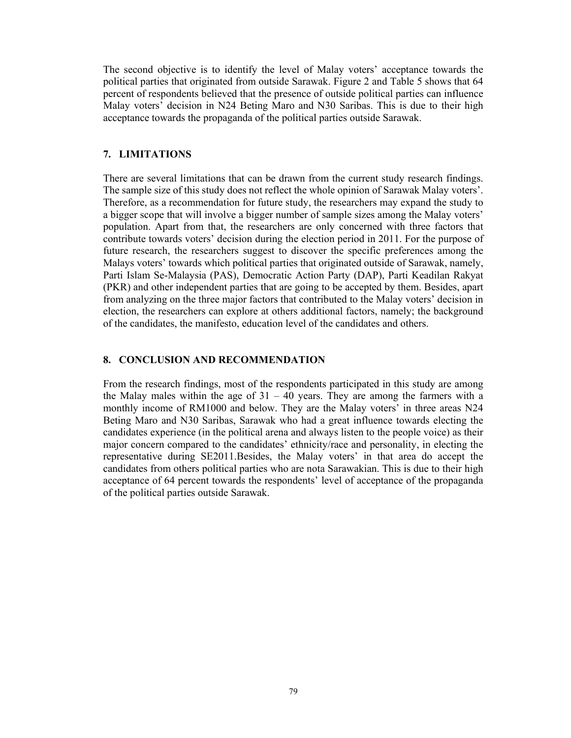The second objective is to identify the level of Malay voters' acceptance towards the political parties that originated from outside Sarawak. Figure 2 and Table 5 shows that 64 percent of respondents believed that the presence of outside political parties can influence Malay voters' decision in N24 Beting Maro and N30 Saribas. This is due to their high acceptance towards the propaganda of the political parties outside Sarawak.

#### **7. LIMITATIONS**

There are several limitations that can be drawn from the current study research findings. The sample size of this study does not reflect the whole opinion of Sarawak Malay voters'. Therefore, as a recommendation for future study, the researchers may expand the study to a bigger scope that will involve a bigger number of sample sizes among the Malay voters' population. Apart from that, the researchers are only concerned with three factors that contribute towards voters' decision during the election period in 2011. For the purpose of future research, the researchers suggest to discover the specific preferences among the Malays voters' towards which political parties that originated outside of Sarawak, namely, Parti Islam Se-Malaysia (PAS), Democratic Action Party (DAP), Parti Keadilan Rakyat (PKR) and other independent parties that are going to be accepted by them. Besides, apart from analyzing on the three major factors that contributed to the Malay voters' decision in election, the researchers can explore at others additional factors, namely; the background of the candidates, the manifesto, education level of the candidates and others.

#### **8. CONCLUSION AND RECOMMENDATION**

From the research findings, most of the respondents participated in this study are among the Malay males within the age of  $31 - 40$  years. They are among the farmers with a monthly income of RM1000 and below. They are the Malay voters' in three areas N24 Beting Maro and N30 Saribas, Sarawak who had a great influence towards electing the candidates experience (in the political arena and always listen to the people voice) as their major concern compared to the candidates' ethnicity/race and personality, in electing the representative during SE2011.Besides, the Malay voters' in that area do accept the candidates from others political parties who are nota Sarawakian. This is due to their high acceptance of 64 percent towards the respondents' level of acceptance of the propaganda of the political parties outside Sarawak.